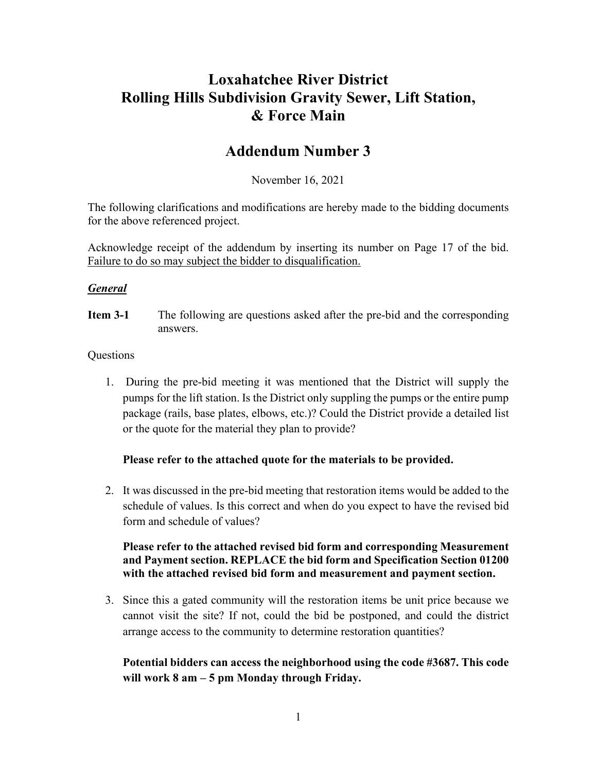# **Loxahatchee River District Rolling Hills Subdivision Gravity Sewer, Lift Station, & Force Main**

# **Addendum Number 3**

November 16, 2021

The following clarifications and modifications are hereby made to the bidding documents for the above referenced project.

Acknowledge receipt of the addendum by inserting its number on Page 17 of the bid. Failure to do so may subject the bidder to disqualification.

#### *General*

**Item 3-1** The following are questions asked after the pre-bid and the corresponding answers.

#### **Questions**

1. During the pre-bid meeting it was mentioned that the District will supply the pumps for the lift station. Is the District only suppling the pumps or the entire pump package (rails, base plates, elbows, etc.)? Could the District provide a detailed list or the quote for the material they plan to provide?

#### **Please refer to the attached quote for the materials to be provided.**

2. It was discussed in the pre-bid meeting that restoration items would be added to the schedule of values. Is this correct and when do you expect to have the revised bid form and schedule of values?

## **Please refer to the attached revised bid form and corresponding Measurement and Payment section. REPLACE the bid form and Specification Section 01200 with the attached revised bid form and measurement and payment section.**

3. Since this a gated community will the restoration items be unit price because we cannot visit the site? If not, could the bid be postponed, and could the district arrange access to the community to determine restoration quantities?

## **Potential bidders can access the neighborhood using the code #3687. This code will work 8 am – 5 pm Monday through Friday.**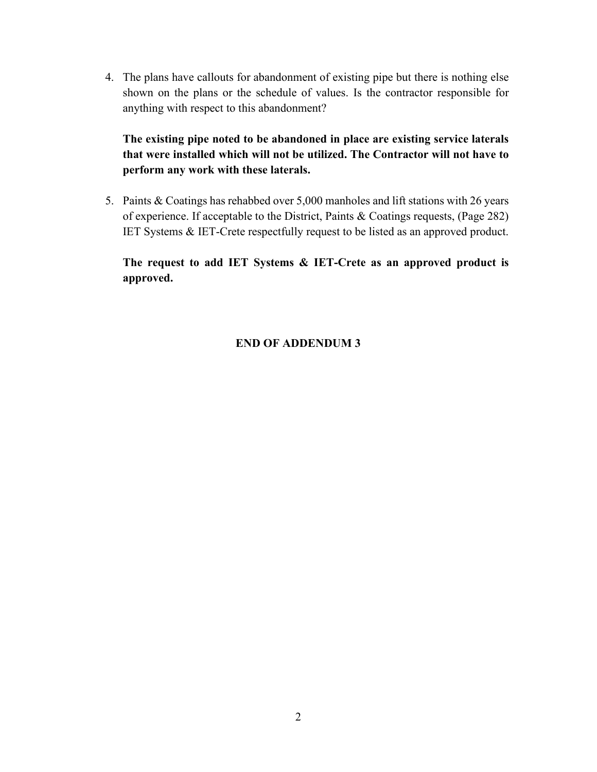4. The plans have callouts for abandonment of existing pipe but there is nothing else shown on the plans or the schedule of values. Is the contractor responsible for anything with respect to this abandonment?

**The existing pipe noted to be abandoned in place are existing service laterals that were installed which will not be utilized. The Contractor will not have to perform any work with these laterals.**

5. Paints & Coatings has rehabbed over 5,000 manholes and lift stations with 26 years of experience. If acceptable to the District, Paints & Coatings requests, (Page 282) IET Systems & IET-Crete respectfully request to be listed as an approved product.

**The request to add IET Systems & IET-Crete as an approved product is approved.** 

#### **END OF ADDENDUM 3**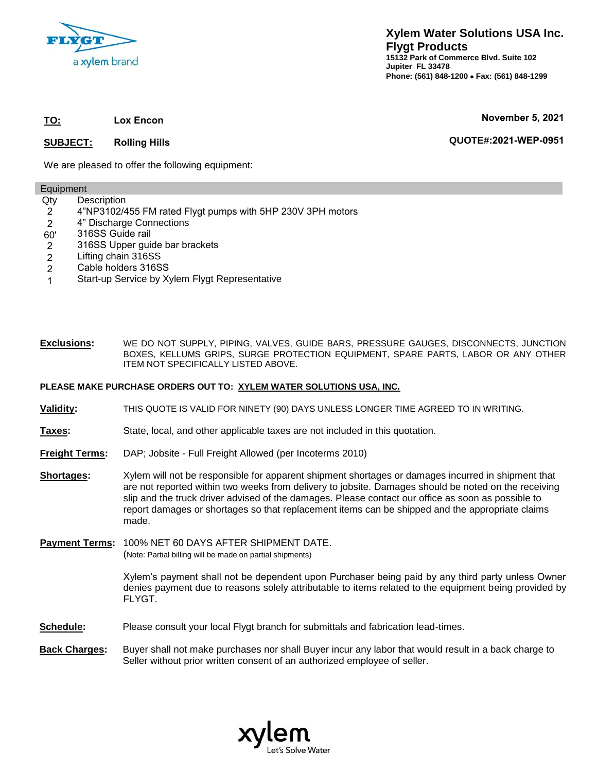

**TO: Lox Encon**

#### **SUBJECT: Rolling Hills**

**November 5, 2021**

**QUOTE#:2021-WEP-0951**

We are pleased to offer the following equipment:

#### Equipment

- Qty **Description**
- 2 4"NP3102/455 FM rated Flygt pumps with 5HP 230V 3PH motors
- 2 4" Discharge Connections
- 60' 316SS Guide rail
- 2 316SS Upper guide bar brackets
- 2 Lifting chain 316SS
- 2 Cable holders 316SS
- 1 Start-up Service by Xylem Flygt Representative

#### **Exclusions:** WE DO NOT SUPPLY, PIPING, VALVES, GUIDE BARS, PRESSURE GAUGES, DISCONNECTS, JUNCTION BOXES, KELLUMS GRIPS, SURGE PROTECTION EQUIPMENT, SPARE PARTS, LABOR OR ANY OTHER ITEM NOT SPECIFICALLY LISTED ABOVE.

#### **PLEASE MAKE PURCHASE ORDERS OUT TO: XYLEM WATER SOLUTIONS USA, INC***.*

- **Validity:** THIS QUOTE IS VALID FOR NINETY (90) DAYS UNLESS LONGER TIME AGREED TO IN WRITING.
- **Taxes:** State, local, and other applicable taxes are not included in this quotation.
- **Freight Terms:** DAP; Jobsite Full Freight Allowed (per Incoterms 2010)
- **Shortages:** Xylem will not be responsible for apparent shipment shortages or damages incurred in shipment that are not reported within two weeks from delivery to jobsite. Damages should be noted on the receiving slip and the truck driver advised of the damages. Please contact our office as soon as possible to report damages or shortages so that replacement items can be shipped and the appropriate claims made.
- **Payment Terms:** 100% NET 60 DAYS AFTER SHIPMENT DATE. (Note: Partial billing will be made on partial shipments)

Xylem's payment shall not be dependent upon Purchaser being paid by any third party unless Owner denies payment due to reasons solely attributable to items related to the equipment being provided by FLYGT.

- **Schedule:** Please consult your local Flygt branch for submittals and fabrication lead-times.
- **[Back Charges:](mailto:eric.johnson@xyleminc.com)** Buyer shall not make purchases nor shall Buyer incur any labor that would result in a back charge to Seller without prior written consent of an authorized employee of seller.

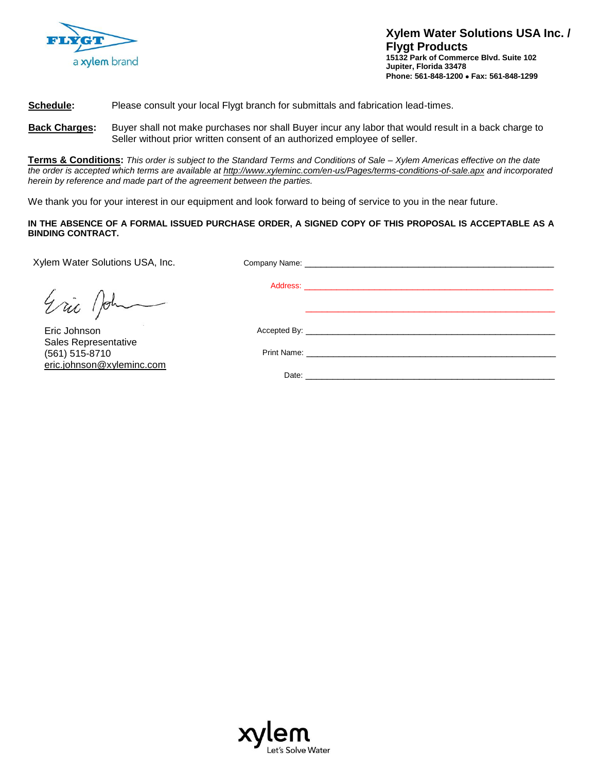

**Xylem Water Solutions USA Inc. / Flygt Products 15132 Park of Commerce Blvd. Suite 102 Jupiter, Florida 33478 Phone: 561-848-1200 Fax: 561-848-1299**

#### **Schedule:** Please consult your local Flygt branch for submittals and fabrication lead-times.

**Back Charges:** Buyer shall not make purchases nor shall Buyer incur any labor that would result in a back charge to Seller without prior written consent of an authorized employee of seller.

**Terms & Conditions:** *This order is subject to the Standard Terms and Conditions of Sale – Xylem Americas effective on the date the order is accepted which terms are available at http://www.xyleminc.com/en-us/Pages/terms-conditions-of-sale.apx and incorporated herein by reference and made part of the agreement between the parties.* 

We thank you for your interest in our equipment and look forward to being of service to you in the near future.

#### **IN THE ABSENCE OF A FORMAL ISSUED PURCHASE ORDER, A SIGNED COPY OF THIS PROPOSAL IS ACCEPTABLE AS A BINDING CONTRACT.**

Xylem Water Solutions USA, Inc. Company Name: \_

Address: \_\_\_\_\_\_\_\_\_\_\_\_\_\_\_\_\_\_\_\_\_\_\_\_\_\_\_\_\_\_\_\_\_\_\_\_\_\_\_\_\_\_\_\_\_\_ Accepted By: \_\_\_\_ Print Name: Date:

Eric Joh

 Eric Johnson Sales Representative (561) 515-8710 eric.johnson@xyleminc.com

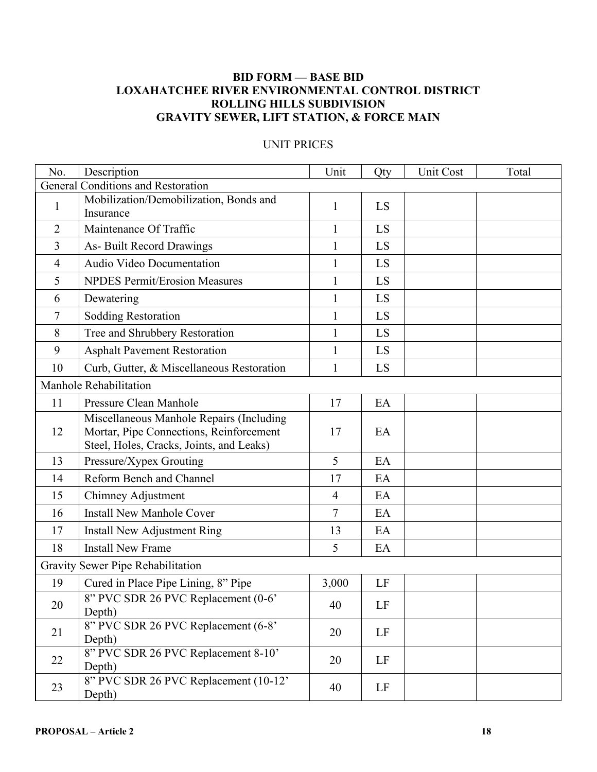## **BID FORM — BASE BID LOXAHATCHEE RIVER ENVIRONMENTAL CONTROL DISTRICT ROLLING HILLS SUBDIVISION GRAVITY SEWER, LIFT STATION, & FORCE MAIN**

| No.                                | Description                                                                                                                     | Unit           | Qty | <b>Unit Cost</b> | Total |  |
|------------------------------------|---------------------------------------------------------------------------------------------------------------------------------|----------------|-----|------------------|-------|--|
| General Conditions and Restoration |                                                                                                                                 |                |     |                  |       |  |
| $\mathbf{1}$                       | Mobilization/Demobilization, Bonds and<br>Insurance                                                                             | $\mathbf{1}$   | LS  |                  |       |  |
| $\overline{2}$                     | Maintenance Of Traffic                                                                                                          | $\mathbf{1}$   | LS  |                  |       |  |
| 3                                  | As-Built Record Drawings                                                                                                        | $\mathbf{1}$   | LS  |                  |       |  |
| 4                                  | Audio Video Documentation                                                                                                       | $\mathbf{1}$   | LS  |                  |       |  |
| 5                                  | <b>NPDES Permit/Erosion Measures</b>                                                                                            | $\mathbf{1}$   | LS  |                  |       |  |
| 6                                  | Dewatering                                                                                                                      | $\mathbf{1}$   | LS  |                  |       |  |
| 7                                  | <b>Sodding Restoration</b>                                                                                                      | $\mathbf{1}$   | LS  |                  |       |  |
| 8                                  | Tree and Shrubbery Restoration                                                                                                  | $\mathbf{1}$   | LS  |                  |       |  |
| 9                                  | <b>Asphalt Pavement Restoration</b>                                                                                             | $\mathbf{1}$   | LS  |                  |       |  |
| 10                                 | Curb, Gutter, & Miscellaneous Restoration                                                                                       | $\mathbf{1}$   | LS  |                  |       |  |
| Manhole Rehabilitation             |                                                                                                                                 |                |     |                  |       |  |
| 11                                 | Pressure Clean Manhole                                                                                                          | 17             | EA  |                  |       |  |
| 12                                 | Miscellaneous Manhole Repairs (Including<br>Mortar, Pipe Connections, Reinforcement<br>Steel, Holes, Cracks, Joints, and Leaks) | 17             | EA  |                  |       |  |
| 13                                 | Pressure/Xypex Grouting                                                                                                         | 5              | EA  |                  |       |  |
| 14                                 | Reform Bench and Channel                                                                                                        | 17             | EA  |                  |       |  |
| 15                                 | Chimney Adjustment                                                                                                              | $\overline{4}$ | EA  |                  |       |  |
| 16                                 | <b>Install New Manhole Cover</b>                                                                                                | 7              | EA  |                  |       |  |
| 17                                 | <b>Install New Adjustment Ring</b>                                                                                              | 13             | EA  |                  |       |  |
| 18                                 | <b>Install New Frame</b>                                                                                                        | 5              | EA  |                  |       |  |
| Gravity Sewer Pipe Rehabilitation  |                                                                                                                                 |                |     |                  |       |  |
| 19                                 | Cured in Place Pipe Lining, 8" Pipe                                                                                             | 3,000          | LF  |                  |       |  |
| 20                                 | 8" PVC SDR 26 PVC Replacement (0-6'<br>Depth)                                                                                   | 40             | LF  |                  |       |  |
| 21                                 | 8" PVC SDR 26 PVC Replacement (6-8'<br>Depth)                                                                                   | 20             | LF  |                  |       |  |
| 22                                 | 8" PVC SDR 26 PVC Replacement 8-10"<br>Depth)                                                                                   | 20             | LF  |                  |       |  |
| 23                                 | 8" PVC SDR 26 PVC Replacement (10-12'<br>Depth)                                                                                 | 40             | LF  |                  |       |  |

## UNIT PRICES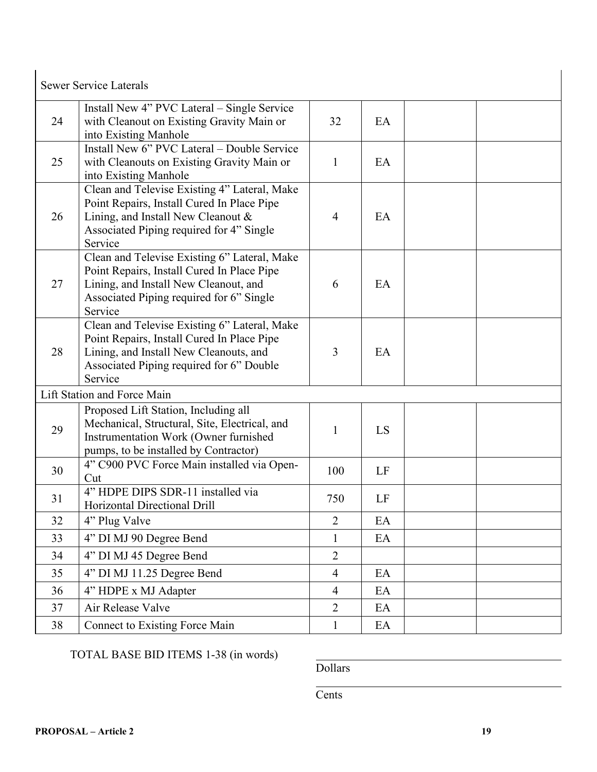|    | <b>Sewer Service Laterals</b>                                                                                                                                                               |                |    |  |
|----|---------------------------------------------------------------------------------------------------------------------------------------------------------------------------------------------|----------------|----|--|
| 24 | Install New 4" PVC Lateral – Single Service<br>with Cleanout on Existing Gravity Main or<br>into Existing Manhole                                                                           | 32             | EA |  |
| 25 | Install New 6" PVC Lateral - Double Service<br>with Cleanouts on Existing Gravity Main or<br>into Existing Manhole                                                                          | $\mathbf{1}$   | EA |  |
| 26 | Clean and Televise Existing 4" Lateral, Make<br>Point Repairs, Install Cured In Place Pipe<br>Lining, and Install New Cleanout &<br>Associated Piping required for 4" Single<br>Service     | $\overline{4}$ | EA |  |
| 27 | Clean and Televise Existing 6" Lateral, Make<br>Point Repairs, Install Cured In Place Pipe<br>Lining, and Install New Cleanout, and<br>Associated Piping required for 6" Single<br>Service  | 6              | EA |  |
| 28 | Clean and Televise Existing 6" Lateral, Make<br>Point Repairs, Install Cured In Place Pipe<br>Lining, and Install New Cleanouts, and<br>Associated Piping required for 6" Double<br>Service | 3              | EA |  |
|    | Lift Station and Force Main                                                                                                                                                                 |                |    |  |
| 29 | Proposed Lift Station, Including all<br>Mechanical, Structural, Site, Electrical, and<br>Instrumentation Work (Owner furnished<br>pumps, to be installed by Contractor)                     | 1              | LS |  |
| 30 | 4" C900 PVC Force Main installed via Open-<br>Cut                                                                                                                                           | 100            | LF |  |
| 31 | 4" HDPE DIPS SDR-11 installed via<br>Horizontal Directional Drill                                                                                                                           | 750            | LF |  |
| 32 | 4" Plug Valve                                                                                                                                                                               | $\overline{2}$ | EA |  |
| 33 | 4" DI MJ 90 Degree Bend                                                                                                                                                                     | $\mathbf{1}$   | EA |  |
| 34 | 4" DI MJ 45 Degree Bend                                                                                                                                                                     | $\overline{2}$ |    |  |
| 35 | 4" DI MJ 11.25 Degree Bend                                                                                                                                                                  | $\overline{4}$ | EA |  |
| 36 | 4" HDPE x MJ Adapter                                                                                                                                                                        | $\overline{4}$ | EA |  |
| 37 | Air Release Valve                                                                                                                                                                           | $\overline{2}$ | EA |  |
| 38 | <b>Connect to Existing Force Main</b>                                                                                                                                                       | $\mathbf{1}$   | EA |  |

# TOTAL BASE BID ITEMS 1-38 (in words)

Dollars

**Cents**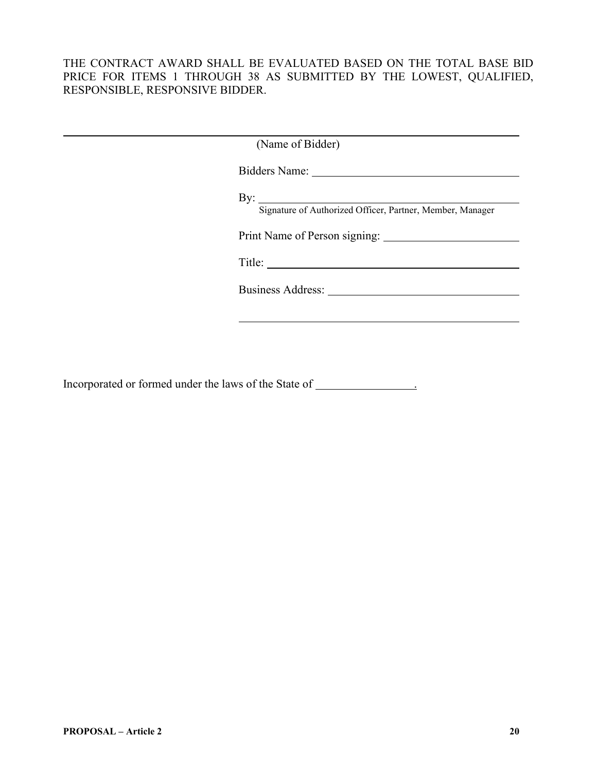#### THE CONTRACT AWARD SHALL BE EVALUATED BASED ON THE TOTAL BASE BID PRICE FOR ITEMS 1 THROUGH 38 AS SUBMITTED BY THE LOWEST, QUALIFIED, RESPONSIBLE, RESPONSIVE BIDDER.

| (Name of Bidder)                                                                 |
|----------------------------------------------------------------------------------|
|                                                                                  |
| By: $\qquad \qquad$<br>Signature of Authorized Officer, Partner, Member, Manager |
|                                                                                  |
| Title:                                                                           |
|                                                                                  |
|                                                                                  |

Incorporated or formed under the laws of the State of \_\_\_\_\_\_\_\_\_\_\_\_\_\_\_\_\_\_\_\_\_\_\_\_\_\_\_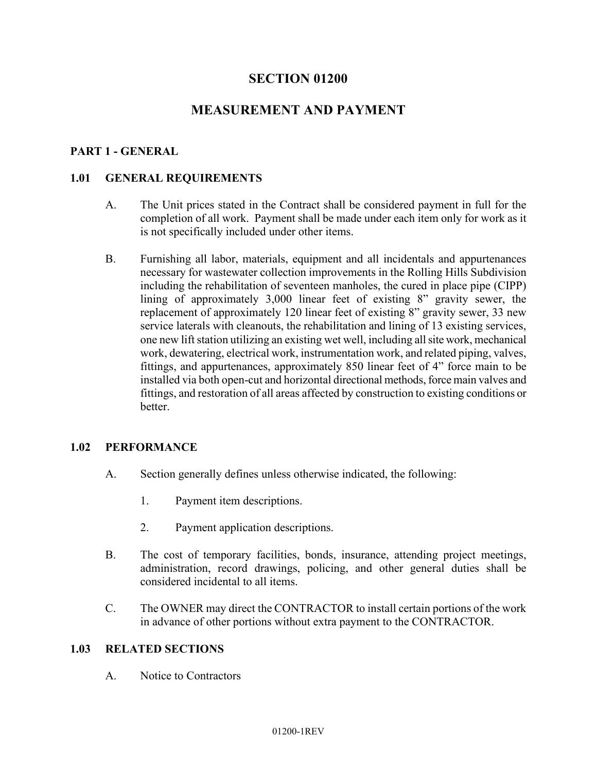## **SECTION 01200**

# **MEASUREMENT AND PAYMENT**

#### **PART 1 - GENERAL**

#### **1.01 GENERAL REQUIREMENTS**

- A. The Unit prices stated in the Contract shall be considered payment in full for the completion of all work. Payment shall be made under each item only for work as it is not specifically included under other items.
- B. Furnishing all labor, materials, equipment and all incidentals and appurtenances necessary for wastewater collection improvements in the Rolling Hills Subdivision including the rehabilitation of seventeen manholes, the cured in place pipe (CIPP) lining of approximately 3,000 linear feet of existing 8" gravity sewer, the replacement of approximately 120 linear feet of existing 8" gravity sewer, 33 new service laterals with cleanouts, the rehabilitation and lining of 13 existing services, one new lift station utilizing an existing wet well, including all site work, mechanical work, dewatering, electrical work, instrumentation work, and related piping, valves, fittings, and appurtenances, approximately 850 linear feet of 4" force main to be installed via both open-cut and horizontal directional methods, force main valves and fittings, and restoration of all areas affected by construction to existing conditions or better.

#### **1.02 PERFORMANCE**

- A. Section generally defines unless otherwise indicated, the following:
	- 1. Payment item descriptions.
	- 2. Payment application descriptions.
- B. The cost of temporary facilities, bonds, insurance, attending project meetings, administration, record drawings, policing, and other general duties shall be considered incidental to all items.
- C. The OWNER may direct the CONTRACTOR to install certain portions of the work in advance of other portions without extra payment to the CONTRACTOR.

#### **1.03 RELATED SECTIONS**

A. Notice to Contractors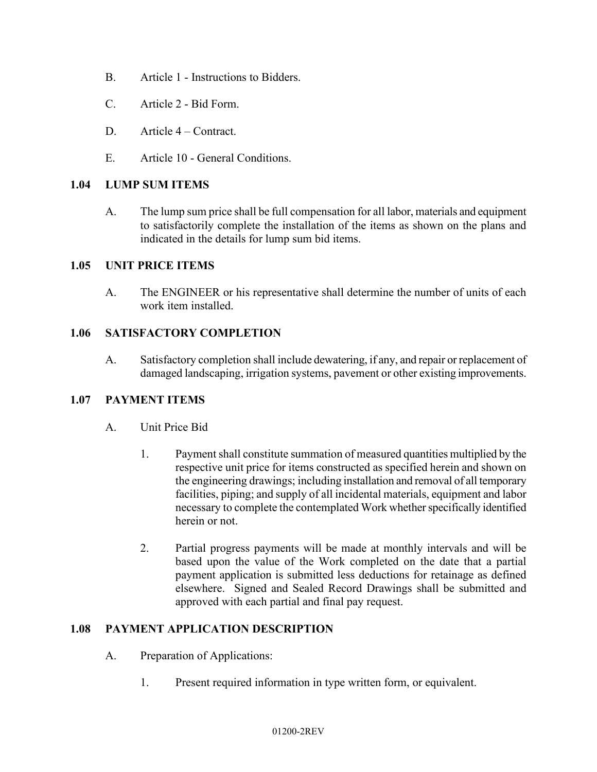- B. Article 1 Instructions to Bidders.
- C. Article 2 Bid Form.
- D. Article 4 Contract.
- E. Article 10 General Conditions.

#### **1.04 LUMP SUM ITEMS**

A. The lump sum price shall be full compensation for all labor, materials and equipment to satisfactorily complete the installation of the items as shown on the plans and indicated in the details for lump sum bid items.

#### **1.05 UNIT PRICE ITEMS**

A. The ENGINEER or his representative shall determine the number of units of each work item installed.

#### **1.06 SATISFACTORY COMPLETION**

A. Satisfactory completion shall include dewatering, if any, and repair or replacement of damaged landscaping, irrigation systems, pavement or other existing improvements.

#### **1.07 PAYMENT ITEMS**

- A. Unit Price Bid
	- 1. Payment shall constitute summation of measured quantities multiplied by the respective unit price for items constructed as specified herein and shown on the engineering drawings; including installation and removal of all temporary facilities, piping; and supply of all incidental materials, equipment and labor necessary to complete the contemplated Work whether specifically identified herein or not.
	- 2. Partial progress payments will be made at monthly intervals and will be based upon the value of the Work completed on the date that a partial payment application is submitted less deductions for retainage as defined elsewhere. Signed and Sealed Record Drawings shall be submitted and approved with each partial and final pay request.

#### **1.08 PAYMENT APPLICATION DESCRIPTION**

- A. Preparation of Applications:
	- 1. Present required information in type written form, or equivalent.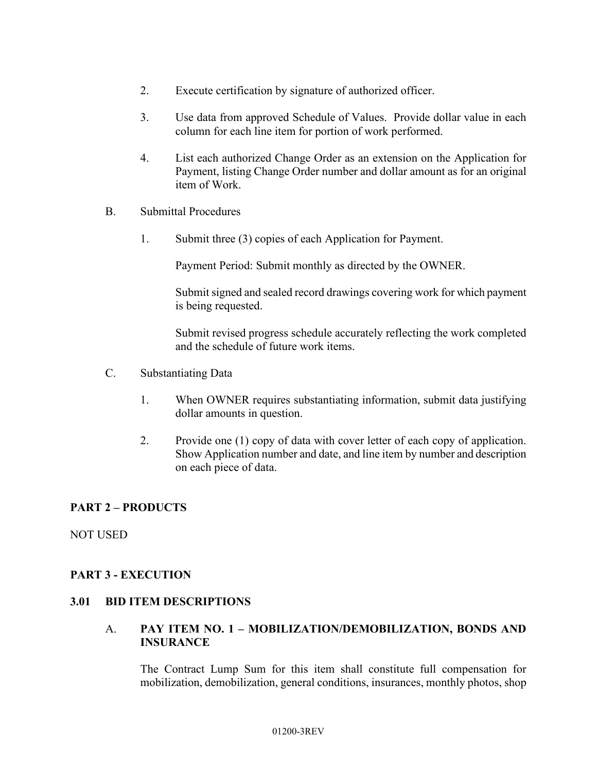- 2. Execute certification by signature of authorized officer.
- 3. Use data from approved Schedule of Values. Provide dollar value in each column for each line item for portion of work performed.
- 4. List each authorized Change Order as an extension on the Application for Payment, listing Change Order number and dollar amount as for an original item of Work.
- B. Submittal Procedures
	- 1. Submit three (3) copies of each Application for Payment.

Payment Period: Submit monthly as directed by the OWNER.

Submit signed and sealed record drawings covering work for which payment is being requested.

Submit revised progress schedule accurately reflecting the work completed and the schedule of future work items.

- C. Substantiating Data
	- 1. When OWNER requires substantiating information, submit data justifying dollar amounts in question.
	- 2. Provide one (1) copy of data with cover letter of each copy of application. Show Application number and date, and line item by number and description on each piece of data.

#### **PART 2 – PRODUCTS**

NOT USED

#### **PART 3 - EXECUTION**

#### **3.01 BID ITEM DESCRIPTIONS**

#### A. **PAY ITEM NO. 1 – MOBILIZATION/DEMOBILIZATION, BONDS AND INSURANCE**

The Contract Lump Sum for this item shall constitute full compensation for mobilization, demobilization, general conditions, insurances, monthly photos, shop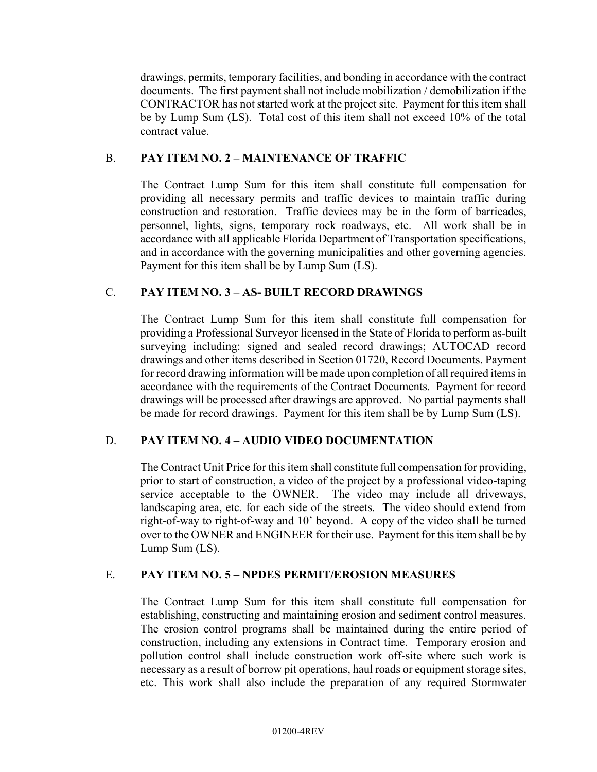drawings, permits, temporary facilities, and bonding in accordance with the contract documents. The first payment shall not include mobilization / demobilization if the CONTRACTOR has not started work at the project site. Payment for this item shall be by Lump Sum (LS). Total cost of this item shall not exceed 10% of the total contract value.

#### B. **PAY ITEM NO. 2 – MAINTENANCE OF TRAFFIC**

The Contract Lump Sum for this item shall constitute full compensation for providing all necessary permits and traffic devices to maintain traffic during construction and restoration. Traffic devices may be in the form of barricades, personnel, lights, signs, temporary rock roadways, etc. All work shall be in accordance with all applicable Florida Department of Transportation specifications, and in accordance with the governing municipalities and other governing agencies. Payment for this item shall be by Lump Sum (LS).

#### C. **PAY ITEM NO. 3 – AS- BUILT RECORD DRAWINGS**

The Contract Lump Sum for this item shall constitute full compensation for providing a Professional Surveyor licensed in the State of Florida to perform as-built surveying including: signed and sealed record drawings; AUTOCAD record drawings and other items described in Section 01720, Record Documents. Payment for record drawing information will be made upon completion of all required items in accordance with the requirements of the Contract Documents. Payment for record drawings will be processed after drawings are approved. No partial payments shall be made for record drawings. Payment for this item shall be by Lump Sum (LS).

#### D. **PAY ITEM NO. 4 – AUDIO VIDEO DOCUMENTATION**

The Contract Unit Price for this item shall constitute full compensation for providing, prior to start of construction, a video of the project by a professional video-taping service acceptable to the OWNER. The video may include all driveways, landscaping area, etc. for each side of the streets. The video should extend from right-of-way to right-of-way and 10' beyond. A copy of the video shall be turned over to the OWNER and ENGINEER for their use. Payment for this item shall be by Lump Sum (LS).

#### E. **PAY ITEM NO. 5 – NPDES PERMIT/EROSION MEASURES**

The Contract Lump Sum for this item shall constitute full compensation for establishing, constructing and maintaining erosion and sediment control measures. The erosion control programs shall be maintained during the entire period of construction, including any extensions in Contract time. Temporary erosion and pollution control shall include construction work off-site where such work is necessary as a result of borrow pit operations, haul roads or equipment storage sites, etc. This work shall also include the preparation of any required Stormwater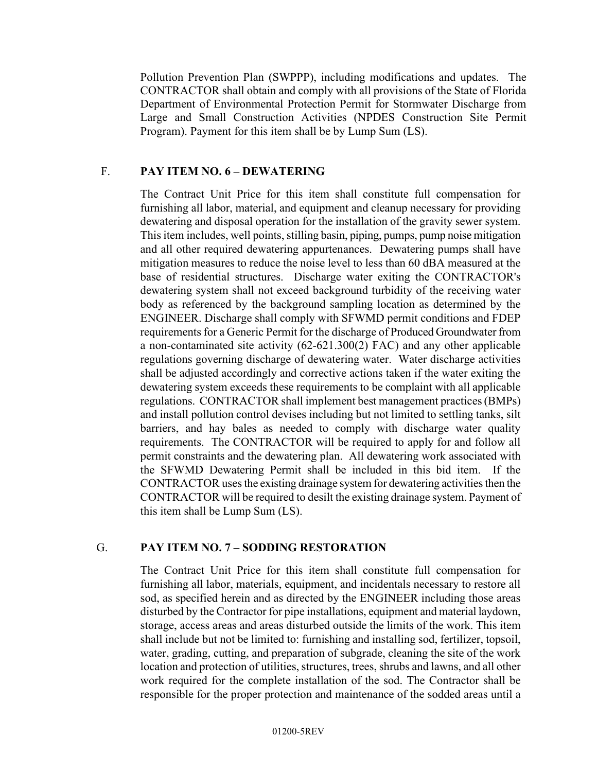Pollution Prevention Plan (SWPPP), including modifications and updates. The CONTRACTOR shall obtain and comply with all provisions of the State of Florida Department of Environmental Protection Permit for Stormwater Discharge from Large and Small Construction Activities (NPDES Construction Site Permit Program). Payment for this item shall be by Lump Sum (LS).

#### F. **PAY ITEM NO. 6 – DEWATERING**

The Contract Unit Price for this item shall constitute full compensation for furnishing all labor, material, and equipment and cleanup necessary for providing dewatering and disposal operation for the installation of the gravity sewer system. This item includes, well points, stilling basin, piping, pumps, pump noise mitigation and all other required dewatering appurtenances. Dewatering pumps shall have mitigation measures to reduce the noise level to less than 60 dBA measured at the base of residential structures. Discharge water exiting the CONTRACTOR's dewatering system shall not exceed background turbidity of the receiving water body as referenced by the background sampling location as determined by the ENGINEER. Discharge shall comply with SFWMD permit conditions and FDEP requirements for a Generic Permit for the discharge of Produced Groundwater from a non-contaminated site activity (62-621.300(2) FAC) and any other applicable regulations governing discharge of dewatering water. Water discharge activities shall be adjusted accordingly and corrective actions taken if the water exiting the dewatering system exceeds these requirements to be complaint with all applicable regulations. CONTRACTOR shall implement best management practices (BMPs) and install pollution control devises including but not limited to settling tanks, silt barriers, and hay bales as needed to comply with discharge water quality requirements. The CONTRACTOR will be required to apply for and follow all permit constraints and the dewatering plan. All dewatering work associated with the SFWMD Dewatering Permit shall be included in this bid item. If the CONTRACTOR uses the existing drainage system for dewatering activities then the CONTRACTOR will be required to desilt the existing drainage system. Payment of this item shall be Lump Sum (LS).

#### G. **PAY ITEM NO. 7 – SODDING RESTORATION**

The Contract Unit Price for this item shall constitute full compensation for furnishing all labor, materials, equipment, and incidentals necessary to restore all sod, as specified herein and as directed by the ENGINEER including those areas disturbed by the Contractor for pipe installations, equipment and material laydown, storage, access areas and areas disturbed outside the limits of the work. This item shall include but not be limited to: furnishing and installing sod, fertilizer, topsoil, water, grading, cutting, and preparation of subgrade, cleaning the site of the work location and protection of utilities, structures, trees, shrubs and lawns, and all other work required for the complete installation of the sod. The Contractor shall be responsible for the proper protection and maintenance of the sodded areas until a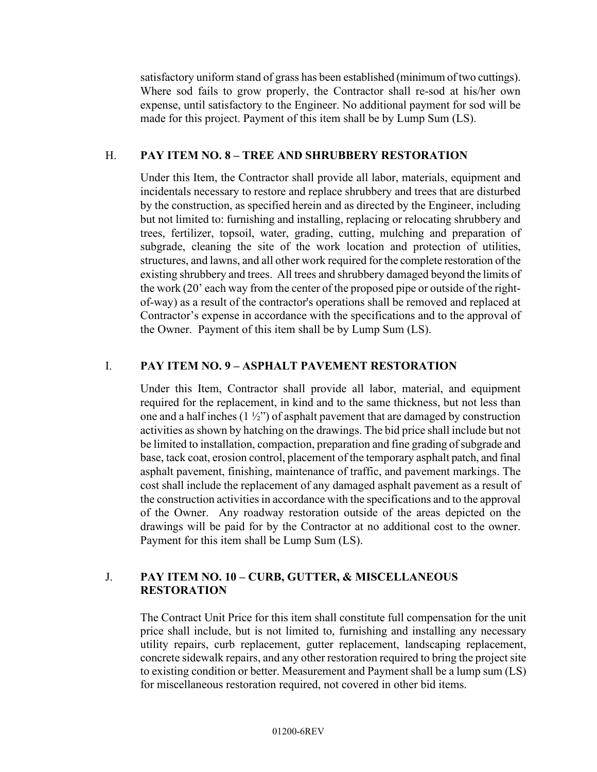satisfactory uniform stand of grass has been established (minimum of two cuttings). Where sod fails to grow properly, the Contractor shall re-sod at his/her own expense, until satisfactory to the Engineer. No additional payment for sod will be made for this project. Payment of this item shall be by Lump Sum (LS).

#### H. **PAY ITEM NO. 8 – TREE AND SHRUBBERY RESTORATION**

Under this Item, the Contractor shall provide all labor, materials, equipment and incidentals necessary to restore and replace shrubbery and trees that are disturbed by the construction, as specified herein and as directed by the Engineer, including but not limited to: furnishing and installing, replacing or relocating shrubbery and trees, fertilizer, topsoil, water, grading, cutting, mulching and preparation of subgrade, cleaning the site of the work location and protection of utilities, structures, and lawns, and all other work required for the complete restoration of the existing shrubbery and trees. All trees and shrubbery damaged beyond the limits of the work (20' each way from the center of the proposed pipe or outside of the rightof-way) as a result of the contractor's operations shall be removed and replaced at Contractor's expense in accordance with the specifications and to the approval of the Owner. Payment of this item shall be by Lump Sum (LS).

#### I. **PAY ITEM NO. 9 – ASPHALT PAVEMENT RESTORATION**

Under this Item, Contractor shall provide all labor, material, and equipment required for the replacement, in kind and to the same thickness, but not less than one and a half inches  $(1 \frac{1}{2})$  of asphalt pavement that are damaged by construction activities as shown by hatching on the drawings. The bid price shall include but not be limited to installation, compaction, preparation and fine grading of subgrade and base, tack coat, erosion control, placement of the temporary asphalt patch, and final asphalt pavement, finishing, maintenance of traffic, and pavement markings. The cost shall include the replacement of any damaged asphalt pavement as a result of the construction activities in accordance with the specifications and to the approval of the Owner. Any roadway restoration outside of the areas depicted on the drawings will be paid for by the Contractor at no additional cost to the owner. Payment for this item shall be Lump Sum (LS).

#### J. **PAY ITEM NO. 10 – CURB, GUTTER, & MISCELLANEOUS RESTORATION**

The Contract Unit Price for this item shall constitute full compensation for the unit price shall include, but is not limited to, furnishing and installing any necessary utility repairs, curb replacement, gutter replacement, landscaping replacement, concrete sidewalk repairs, and any other restoration required to bring the project site to existing condition or better. Measurement and Payment shall be a lump sum (LS) for miscellaneous restoration required, not covered in other bid items.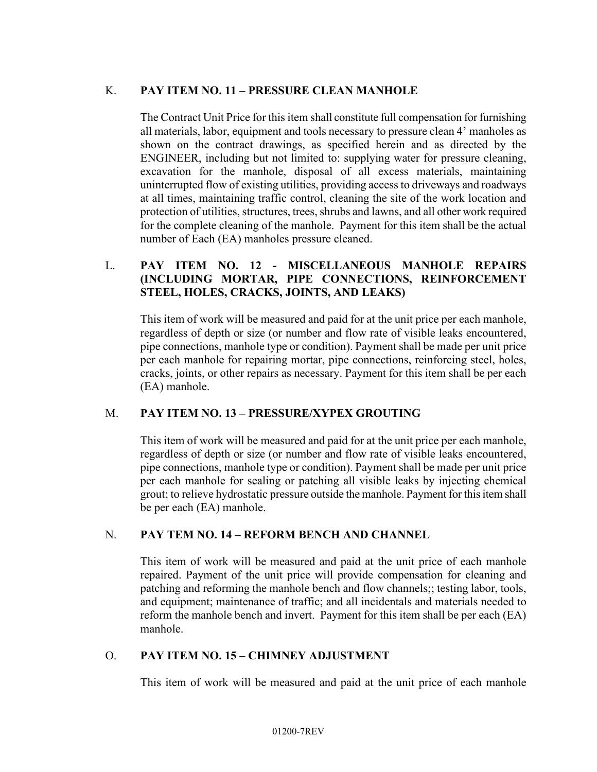## K. **PAY ITEM NO. 11 – PRESSURE CLEAN MANHOLE**

The Contract Unit Price for this item shall constitute full compensation for furnishing all materials, labor, equipment and tools necessary to pressure clean 4' manholes as shown on the contract drawings, as specified herein and as directed by the ENGINEER, including but not limited to: supplying water for pressure cleaning, excavation for the manhole, disposal of all excess materials, maintaining uninterrupted flow of existing utilities, providing access to driveways and roadways at all times, maintaining traffic control, cleaning the site of the work location and protection of utilities, structures, trees, shrubs and lawns, and all other work required for the complete cleaning of the manhole. Payment for this item shall be the actual number of Each (EA) manholes pressure cleaned.

## L. **PAY ITEM NO. 12 - MISCELLANEOUS MANHOLE REPAIRS (INCLUDING MORTAR, PIPE CONNECTIONS, REINFORCEMENT STEEL, HOLES, CRACKS, JOINTS, AND LEAKS)**

This item of work will be measured and paid for at the unit price per each manhole, regardless of depth or size (or number and flow rate of visible leaks encountered, pipe connections, manhole type or condition). Payment shall be made per unit price per each manhole for repairing mortar, pipe connections, reinforcing steel, holes, cracks, joints, or other repairs as necessary. Payment for this item shall be per each (EA) manhole.

#### M. **PAY ITEM NO. 13 – PRESSURE/XYPEX GROUTING**

This item of work will be measured and paid for at the unit price per each manhole, regardless of depth or size (or number and flow rate of visible leaks encountered, pipe connections, manhole type or condition). Payment shall be made per unit price per each manhole for sealing or patching all visible leaks by injecting chemical grout; to relieve hydrostatic pressure outside the manhole. Payment for this item shall be per each (EA) manhole.

#### N. **PAY TEM NO. 14 – REFORM BENCH AND CHANNEL**

This item of work will be measured and paid at the unit price of each manhole repaired. Payment of the unit price will provide compensation for cleaning and patching and reforming the manhole bench and flow channels;; testing labor, tools, and equipment; maintenance of traffic; and all incidentals and materials needed to reform the manhole bench and invert. Payment for this item shall be per each (EA) manhole.

#### O. **PAY ITEM NO. 15 – CHIMNEY ADJUSTMENT**

This item of work will be measured and paid at the unit price of each manhole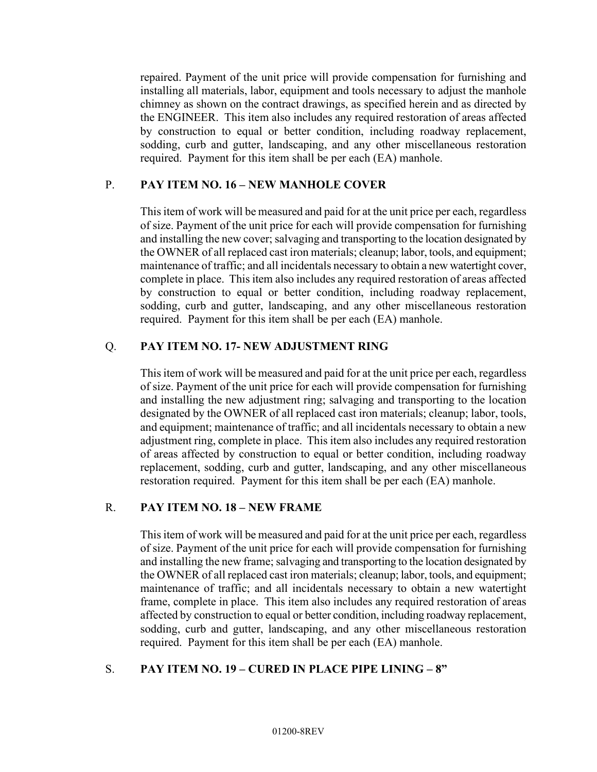repaired. Payment of the unit price will provide compensation for furnishing and installing all materials, labor, equipment and tools necessary to adjust the manhole chimney as shown on the contract drawings, as specified herein and as directed by the ENGINEER. This item also includes any required restoration of areas affected by construction to equal or better condition, including roadway replacement, sodding, curb and gutter, landscaping, and any other miscellaneous restoration required. Payment for this item shall be per each (EA) manhole.

#### P. **PAY ITEM NO. 16 – NEW MANHOLE COVER**

This item of work will be measured and paid for at the unit price per each, regardless of size. Payment of the unit price for each will provide compensation for furnishing and installing the new cover; salvaging and transporting to the location designated by the OWNER of all replaced cast iron materials; cleanup; labor, tools, and equipment; maintenance of traffic; and all incidentals necessary to obtain a new watertight cover, complete in place. This item also includes any required restoration of areas affected by construction to equal or better condition, including roadway replacement, sodding, curb and gutter, landscaping, and any other miscellaneous restoration required. Payment for this item shall be per each (EA) manhole.

#### Q. **PAY ITEM NO. 17- NEW ADJUSTMENT RING**

This item of work will be measured and paid for at the unit price per each, regardless of size. Payment of the unit price for each will provide compensation for furnishing and installing the new adjustment ring; salvaging and transporting to the location designated by the OWNER of all replaced cast iron materials; cleanup; labor, tools, and equipment; maintenance of traffic; and all incidentals necessary to obtain a new adjustment ring, complete in place. This item also includes any required restoration of areas affected by construction to equal or better condition, including roadway replacement, sodding, curb and gutter, landscaping, and any other miscellaneous restoration required. Payment for this item shall be per each (EA) manhole.

#### R. **PAY ITEM NO. 18 – NEW FRAME**

This item of work will be measured and paid for at the unit price per each, regardless of size. Payment of the unit price for each will provide compensation for furnishing and installing the new frame; salvaging and transporting to the location designated by the OWNER of all replaced cast iron materials; cleanup; labor, tools, and equipment; maintenance of traffic; and all incidentals necessary to obtain a new watertight frame, complete in place. This item also includes any required restoration of areas affected by construction to equal or better condition, including roadway replacement, sodding, curb and gutter, landscaping, and any other miscellaneous restoration required. Payment for this item shall be per each (EA) manhole.

#### S. **PAY ITEM NO. 19 – CURED IN PLACE PIPE LINING – 8"**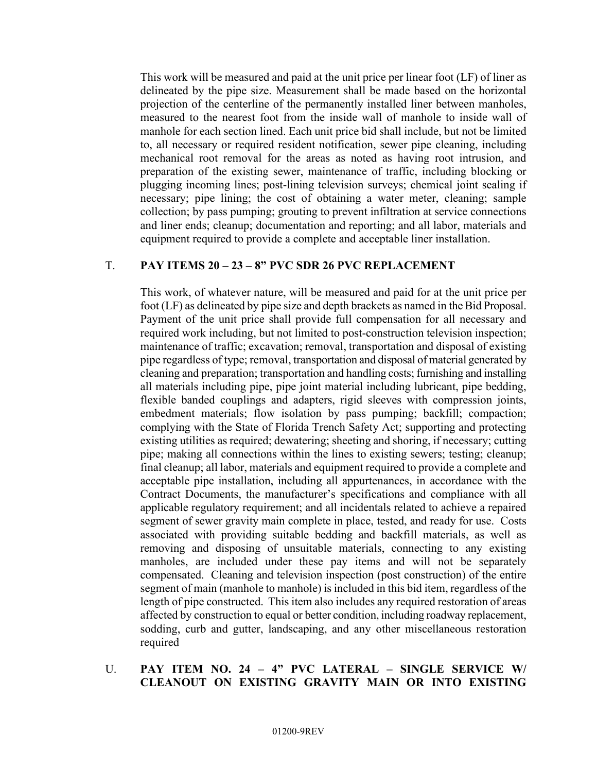This work will be measured and paid at the unit price per linear foot (LF) of liner as delineated by the pipe size. Measurement shall be made based on the horizontal projection of the centerline of the permanently installed liner between manholes, measured to the nearest foot from the inside wall of manhole to inside wall of manhole for each section lined. Each unit price bid shall include, but not be limited to, all necessary or required resident notification, sewer pipe cleaning, including mechanical root removal for the areas as noted as having root intrusion, and preparation of the existing sewer, maintenance of traffic, including blocking or plugging incoming lines; post-lining television surveys; chemical joint sealing if necessary; pipe lining; the cost of obtaining a water meter, cleaning; sample collection; by pass pumping; grouting to prevent infiltration at service connections and liner ends; cleanup; documentation and reporting; and all labor, materials and equipment required to provide a complete and acceptable liner installation.

## T. **PAY ITEMS 20 – 23 – 8" PVC SDR 26 PVC REPLACEMENT**

This work, of whatever nature, will be measured and paid for at the unit price per foot (LF) as delineated by pipe size and depth brackets as named in the Bid Proposal. Payment of the unit price shall provide full compensation for all necessary and required work including, but not limited to post-construction television inspection; maintenance of traffic; excavation; removal, transportation and disposal of existing pipe regardless of type; removal, transportation and disposal of material generated by cleaning and preparation; transportation and handling costs; furnishing and installing all materials including pipe, pipe joint material including lubricant, pipe bedding, flexible banded couplings and adapters, rigid sleeves with compression joints, embedment materials; flow isolation by pass pumping; backfill; compaction; complying with the State of Florida Trench Safety Act; supporting and protecting existing utilities as required; dewatering; sheeting and shoring, if necessary; cutting pipe; making all connections within the lines to existing sewers; testing; cleanup; final cleanup; all labor, materials and equipment required to provide a complete and acceptable pipe installation, including all appurtenances, in accordance with the Contract Documents, the manufacturer's specifications and compliance with all applicable regulatory requirement; and all incidentals related to achieve a repaired segment of sewer gravity main complete in place, tested, and ready for use. Costs associated with providing suitable bedding and backfill materials, as well as removing and disposing of unsuitable materials, connecting to any existing manholes, are included under these pay items and will not be separately compensated. Cleaning and television inspection (post construction) of the entire segment of main (manhole to manhole) is included in this bid item, regardless of the length of pipe constructed. This item also includes any required restoration of areas affected by construction to equal or better condition, including roadway replacement, sodding, curb and gutter, landscaping, and any other miscellaneous restoration required

#### U. **PAY ITEM NO. 24 – 4" PVC LATERAL – SINGLE SERVICE W/ CLEANOUT ON EXISTING GRAVITY MAIN OR INTO EXISTING**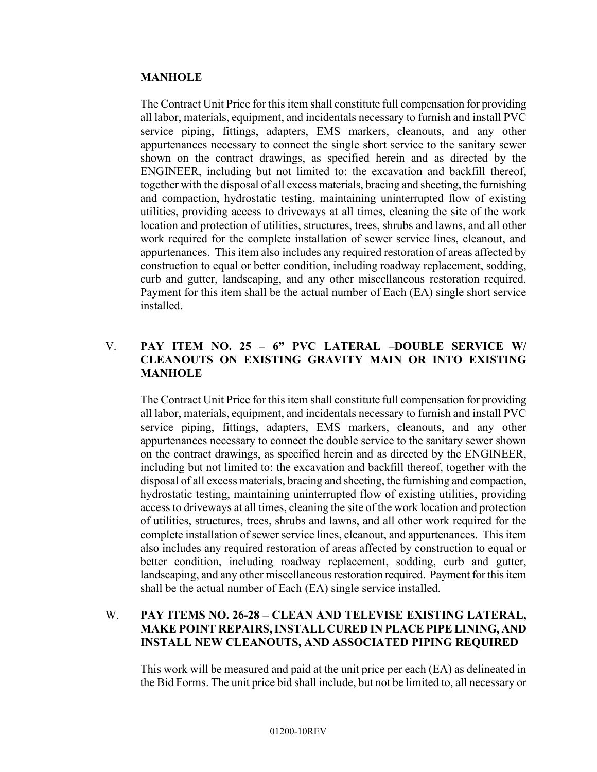#### **MANHOLE**

The Contract Unit Price for this item shall constitute full compensation for providing all labor, materials, equipment, and incidentals necessary to furnish and install PVC service piping, fittings, adapters, EMS markers, cleanouts, and any other appurtenances necessary to connect the single short service to the sanitary sewer shown on the contract drawings, as specified herein and as directed by the ENGINEER, including but not limited to: the excavation and backfill thereof, together with the disposal of all excess materials, bracing and sheeting, the furnishing and compaction, hydrostatic testing, maintaining uninterrupted flow of existing utilities, providing access to driveways at all times, cleaning the site of the work location and protection of utilities, structures, trees, shrubs and lawns, and all other work required for the complete installation of sewer service lines, cleanout, and appurtenances. This item also includes any required restoration of areas affected by construction to equal or better condition, including roadway replacement, sodding, curb and gutter, landscaping, and any other miscellaneous restoration required. Payment for this item shall be the actual number of Each (EA) single short service installed.

#### V. **PAY ITEM NO. 25 – 6" PVC LATERAL –DOUBLE SERVICE W/ CLEANOUTS ON EXISTING GRAVITY MAIN OR INTO EXISTING MANHOLE**

The Contract Unit Price for this item shall constitute full compensation for providing all labor, materials, equipment, and incidentals necessary to furnish and install PVC service piping, fittings, adapters, EMS markers, cleanouts, and any other appurtenances necessary to connect the double service to the sanitary sewer shown on the contract drawings, as specified herein and as directed by the ENGINEER, including but not limited to: the excavation and backfill thereof, together with the disposal of all excess materials, bracing and sheeting, the furnishing and compaction, hydrostatic testing, maintaining uninterrupted flow of existing utilities, providing access to driveways at all times, cleaning the site of the work location and protection of utilities, structures, trees, shrubs and lawns, and all other work required for the complete installation of sewer service lines, cleanout, and appurtenances. This item also includes any required restoration of areas affected by construction to equal or better condition, including roadway replacement, sodding, curb and gutter, landscaping, and any other miscellaneous restoration required. Payment for this item shall be the actual number of Each (EA) single service installed.

#### W. **PAY ITEMS NO. 26-28 – CLEAN AND TELEVISE EXISTING LATERAL, MAKE POINT REPAIRS, INSTALL CURED IN PLACE PIPE LINING, AND INSTALL NEW CLEANOUTS, AND ASSOCIATED PIPING REQUIRED**

This work will be measured and paid at the unit price per each (EA) as delineated in the Bid Forms. The unit price bid shall include, but not be limited to, all necessary or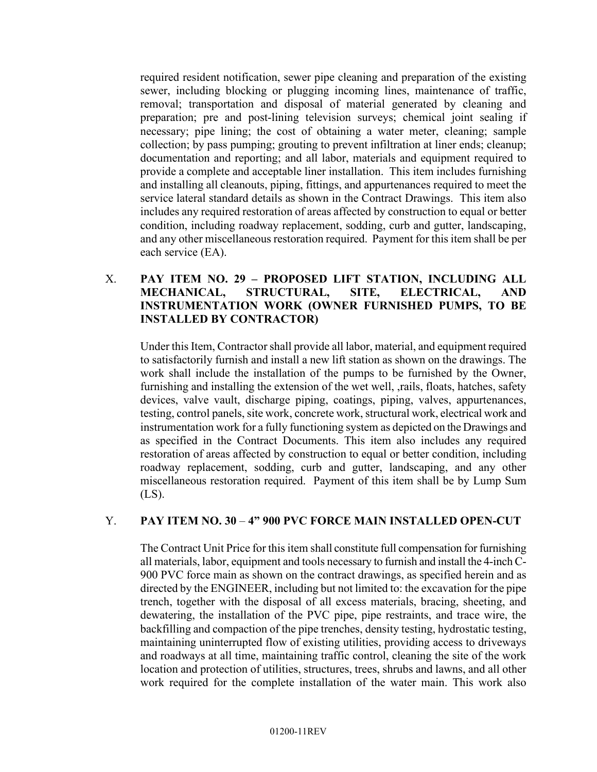required resident notification, sewer pipe cleaning and preparation of the existing sewer, including blocking or plugging incoming lines, maintenance of traffic, removal; transportation and disposal of material generated by cleaning and preparation; pre and post-lining television surveys; chemical joint sealing if necessary; pipe lining; the cost of obtaining a water meter, cleaning; sample collection; by pass pumping; grouting to prevent infiltration at liner ends; cleanup; documentation and reporting; and all labor, materials and equipment required to provide a complete and acceptable liner installation. This item includes furnishing and installing all cleanouts, piping, fittings, and appurtenances required to meet the service lateral standard details as shown in the Contract Drawings. This item also includes any required restoration of areas affected by construction to equal or better condition, including roadway replacement, sodding, curb and gutter, landscaping, and any other miscellaneous restoration required. Payment for this item shall be per each service (EA).

#### X. **PAY ITEM NO. 29 – PROPOSED LIFT STATION, INCLUDING ALL MECHANICAL, STRUCTURAL, SITE, ELECTRICAL, AND INSTRUMENTATION WORK (OWNER FURNISHED PUMPS, TO BE INSTALLED BY CONTRACTOR)**

Under this Item, Contractor shall provide all labor, material, and equipment required to satisfactorily furnish and install a new lift station as shown on the drawings. The work shall include the installation of the pumps to be furnished by the Owner, furnishing and installing the extension of the wet well, ,rails, floats, hatches, safety devices, valve vault, discharge piping, coatings, piping, valves, appurtenances, testing, control panels, site work, concrete work, structural work, electrical work and instrumentation work for a fully functioning system as depicted on the Drawings and as specified in the Contract Documents. This item also includes any required restoration of areas affected by construction to equal or better condition, including roadway replacement, sodding, curb and gutter, landscaping, and any other miscellaneous restoration required. Payment of this item shall be by Lump Sum (LS).

#### Y. **PAY ITEM NO. 30** – **4" 900 PVC FORCE MAIN INSTALLED OPEN-CUT**

The Contract Unit Price for this item shall constitute full compensation for furnishing all materials, labor, equipment and tools necessary to furnish and install the 4-inch C-900 PVC force main as shown on the contract drawings, as specified herein and as directed by the ENGINEER, including but not limited to: the excavation for the pipe trench, together with the disposal of all excess materials, bracing, sheeting, and dewatering, the installation of the PVC pipe, pipe restraints, and trace wire, the backfilling and compaction of the pipe trenches, density testing, hydrostatic testing, maintaining uninterrupted flow of existing utilities, providing access to driveways and roadways at all time, maintaining traffic control, cleaning the site of the work location and protection of utilities, structures, trees, shrubs and lawns, and all other work required for the complete installation of the water main. This work also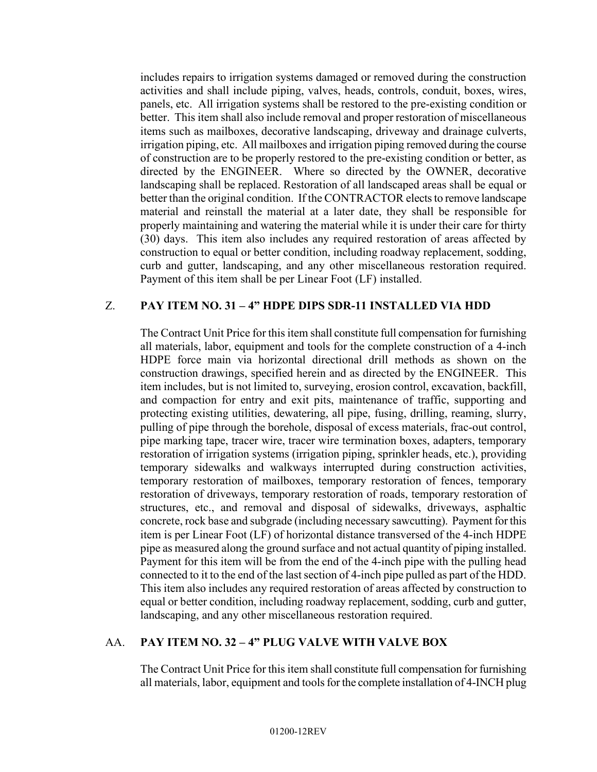includes repairs to irrigation systems damaged or removed during the construction activities and shall include piping, valves, heads, controls, conduit, boxes, wires, panels, etc. All irrigation systems shall be restored to the pre-existing condition or better. This item shall also include removal and proper restoration of miscellaneous items such as mailboxes, decorative landscaping, driveway and drainage culverts, irrigation piping, etc. All mailboxes and irrigation piping removed during the course of construction are to be properly restored to the pre-existing condition or better, as directed by the ENGINEER. Where so directed by the OWNER, decorative landscaping shall be replaced. Restoration of all landscaped areas shall be equal or better than the original condition. If the CONTRACTOR elects to remove landscape material and reinstall the material at a later date, they shall be responsible for properly maintaining and watering the material while it is under their care for thirty (30) days. This item also includes any required restoration of areas affected by construction to equal or better condition, including roadway replacement, sodding, curb and gutter, landscaping, and any other miscellaneous restoration required. Payment of this item shall be per Linear Foot (LF) installed.

#### Z. **PAY ITEM NO. 31 – 4" HDPE DIPS SDR-11 INSTALLED VIA HDD**

The Contract Unit Price for this item shall constitute full compensation for furnishing all materials, labor, equipment and tools for the complete construction of a 4-inch HDPE force main via horizontal directional drill methods as shown on the construction drawings, specified herein and as directed by the ENGINEER. This item includes, but is not limited to, surveying, erosion control, excavation, backfill, and compaction for entry and exit pits, maintenance of traffic, supporting and protecting existing utilities, dewatering, all pipe, fusing, drilling, reaming, slurry, pulling of pipe through the borehole, disposal of excess materials, frac-out control, pipe marking tape, tracer wire, tracer wire termination boxes, adapters, temporary restoration of irrigation systems (irrigation piping, sprinkler heads, etc.), providing temporary sidewalks and walkways interrupted during construction activities, temporary restoration of mailboxes, temporary restoration of fences, temporary restoration of driveways, temporary restoration of roads, temporary restoration of structures, etc., and removal and disposal of sidewalks, driveways, asphaltic concrete, rock base and subgrade (including necessary sawcutting). Payment for this item is per Linear Foot (LF) of horizontal distance transversed of the 4-inch HDPE pipe as measured along the ground surface and not actual quantity of piping installed. Payment for this item will be from the end of the 4-inch pipe with the pulling head connected to it to the end of the last section of 4-inch pipe pulled as part of the HDD. This item also includes any required restoration of areas affected by construction to equal or better condition, including roadway replacement, sodding, curb and gutter, landscaping, and any other miscellaneous restoration required.

#### AA. **PAY ITEM NO. 32 – 4" PLUG VALVE WITH VALVE BOX**

The Contract Unit Price for this item shall constitute full compensation for furnishing all materials, labor, equipment and tools for the complete installation of 4-INCH plug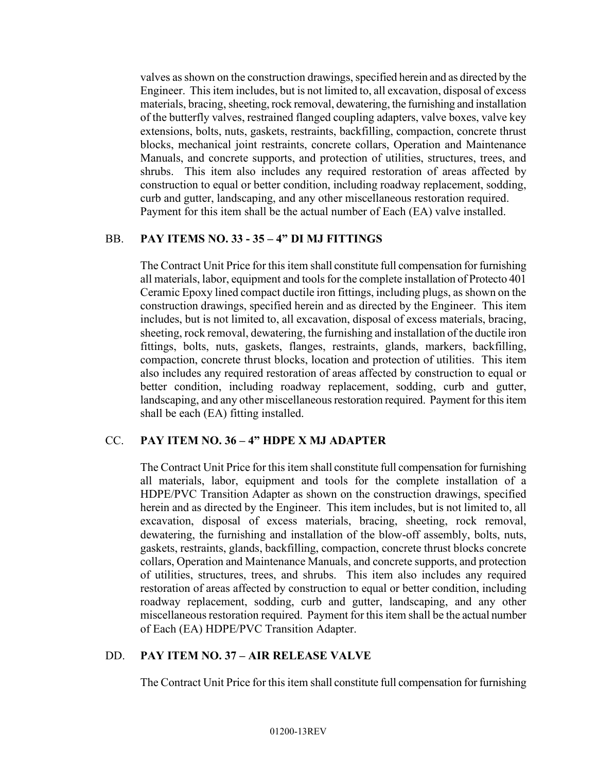valves as shown on the construction drawings, specified herein and as directed by the Engineer. This item includes, but is not limited to, all excavation, disposal of excess materials, bracing, sheeting, rock removal, dewatering, the furnishing and installation of the butterfly valves, restrained flanged coupling adapters, valve boxes, valve key extensions, bolts, nuts, gaskets, restraints, backfilling, compaction, concrete thrust blocks, mechanical joint restraints, concrete collars, Operation and Maintenance Manuals, and concrete supports, and protection of utilities, structures, trees, and shrubs. This item also includes any required restoration of areas affected by construction to equal or better condition, including roadway replacement, sodding, curb and gutter, landscaping, and any other miscellaneous restoration required. Payment for this item shall be the actual number of Each (EA) valve installed.

#### BB. **PAY ITEMS NO. 33 - 35 – 4" DI MJ FITTINGS**

The Contract Unit Price for this item shall constitute full compensation for furnishing all materials, labor, equipment and tools for the complete installation of Protecto 401 Ceramic Epoxy lined compact ductile iron fittings, including plugs, as shown on the construction drawings, specified herein and as directed by the Engineer. This item includes, but is not limited to, all excavation, disposal of excess materials, bracing, sheeting, rock removal, dewatering, the furnishing and installation of the ductile iron fittings, bolts, nuts, gaskets, flanges, restraints, glands, markers, backfilling, compaction, concrete thrust blocks, location and protection of utilities. This item also includes any required restoration of areas affected by construction to equal or better condition, including roadway replacement, sodding, curb and gutter, landscaping, and any other miscellaneous restoration required. Payment for this item shall be each (EA) fitting installed.

#### CC. **PAY ITEM NO. 36 – 4" HDPE X MJ ADAPTER**

The Contract Unit Price for this item shall constitute full compensation for furnishing all materials, labor, equipment and tools for the complete installation of a HDPE/PVC Transition Adapter as shown on the construction drawings, specified herein and as directed by the Engineer. This item includes, but is not limited to, all excavation, disposal of excess materials, bracing, sheeting, rock removal, dewatering, the furnishing and installation of the blow-off assembly, bolts, nuts, gaskets, restraints, glands, backfilling, compaction, concrete thrust blocks concrete collars, Operation and Maintenance Manuals, and concrete supports, and protection of utilities, structures, trees, and shrubs. This item also includes any required restoration of areas affected by construction to equal or better condition, including roadway replacement, sodding, curb and gutter, landscaping, and any other miscellaneous restoration required. Payment for this item shall be the actual number of Each (EA) HDPE/PVC Transition Adapter.

#### DD. **PAY ITEM NO. 37 – AIR RELEASE VALVE**

The Contract Unit Price for this item shall constitute full compensation for furnishing